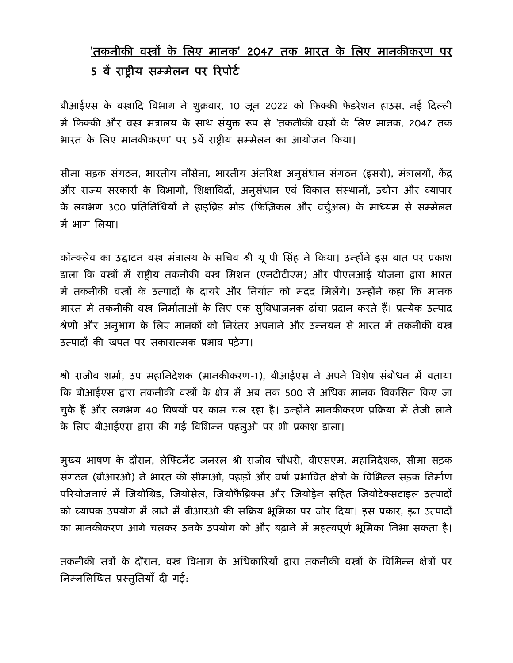## <u>'तकनीकी वस्त्रों के लिए मानक' 2047 तक भारत के लिए मानकीकरण पर</u> <u>5 वें राष्ट्रीय सम्मेलन पर रिपोर्ट</u>

बीआईएस के वस्त्रादि विभाग ने शुक्रवार, 10 जून 2022 को फिक्की फेडरेशन हाउस, नई दिल्ली मैं फिक्की और वस्त्र मंत्रालय के साथ संयुक्त रूप से 'तकनीकी वस्त्रों के लिए मानक, 2047 तक भारत के लिए मानकीकरण' पर 5वें राष्ट्रीय सम्मेलन का आयोजन किया।

सीमा सड़क संगठन, भारतीय नौसेना, भारतीय अंतरिक्ष अनुसंधान संगठन (इसरो), मंत्रालयों, केंद्र और राज्य सरकारों के विभागों, शिक्षाविदों, अनुसंधान एवं विकास संस्थानों, उद्योग और व्यापार के लगभग 300 प्रतिनिधियों ने हाइब्रिड मोड (फिज़िकल और वर्चुअल) के माध्यम से सम्मेलन में भाग लिया।

कॉन्क्लेव का उद्घाटन वस्त्र मंत्रालय के सचिव श्री यू पी सिंह ने किया। उन्होंने इस बात पर प्रकाश डाला कि वस्त्रों में राष्ट्रीय तकनीकी वस्त्र मिशन (एनटीटीएम) और पीएलआई योजना द्वारा भारत मैं तकनीकी वस्त्रों के उत्पादों के दायरे और निर्यात को मदद मिलेंगे। उन्होंने कहा कि मानक भारत में तकनीकी वस्त्र निर्माताओं के लिए एक सुविधाजनक ढांचा प्रदान करते हैं। प्रत्येक उत्पाद श्रेणी और अनुभाग के लिए मानकों को निरंतर अपनाने और उन्नयन से भारत में तकनीकी वस्त्र उत्पादों की खपत पर सकारात्मक प्रभाव पड़ेगा।

श्री राजीव शर्मा, उप महानिदेशक (मानकीकरण-1), बीआईएस ने अपने विशेष संबोधन में बताया कि बीआईएस द्वारा तकनीकी वस्त्रों के क्षेत्र में अब तक 500 से अधिक मानक विकसित किए जा चुके हैं और लगभग 40 विषयों पर काम चल रहा है। उन्होंने मानकीकरण प्रक्रिया में तेजी लाने के लिए बीआईएस द्वारा की गई विभिन्न पहलुओ पर भी प्रकाश डाला।

मुख्य भाषण के दौरान, लेफ्टिनेंट जनरल श्री राजीव चौधरी, वीएसएम, महानिदेशक, सीमा सड़क संगठन (बीआरओ) ने भारत की सीमाओं, पहाड़ों और वर्षा प्रभावित क्षेत्रों के विभिन्न सड़क निर्माण परियोजनाएं में जियोग्रिड, जियोसेल, जियोफैब्रिक्स और जियोड्रेन सहित जियोटेक्सटाइल उत्पादों को व्यापक उपयोग में लाने में बीआरओ की सक्रिय भूमिका पर जोर दिया। इस प्रकार, इन उत्पादों का मानकीकरण आगे चलकर उनके उपयोग को और बढ़ाने में महत्वपूर्ण भूमिका निभा सकता है।

तकनीकी सत्रों के दौरान, वस्त्र विभाग के अधिकारियों द्वारा तकनीकी वस्त्रों के विभिन्न क्षेत्रों पर निम्नलिखित प्रस्तुतियाँ दी गई: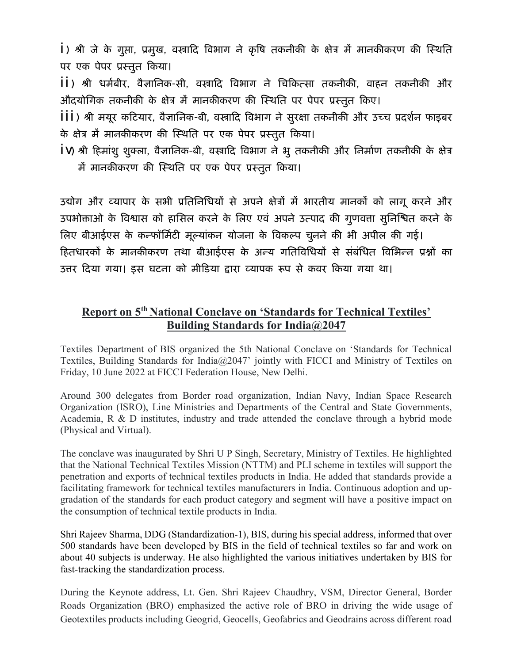i) श्री जे के गुप्ता, प्रमुख, वस्त्रादि विभाग ने कृषि तकनीकी के क्षेत्र में मानकीकरण की स्थिति पर एक पेपर प्रस्तुत किया।

 $\overline{\mathsf{i}\mathsf{i}}$  ) श्री धर्मबीर, वैज्ञानिक-सी, वस्त्रादि विभाग ने चिकित्सा तकनीकी, वाहन तकनीकी और औदयोगिक तकनीकी के क्षेत्र में मानकीकरण की स्थिति पर पेपर प्रस्तुत किए।

iii) श्री मयूर कटियार, वैज्ञानिक-बी, वस्त्रादि विभाग ने सुरक्षा तकनीकी और उच्च प्रदर्शन फाइबर के क्षेत्र में मानकीकरण की स्थिति पर एक पेपर प्रस्तुत किया।

i V) श्री हिमांशु शुक्ला, वैज्ञानिक-बी, वस्त्रादि विभाग ने भु तकनीकी और निर्माण तकनीकी के क्षेत्र में मानकीकरण की स्थिति पर एक पेपर प्रस्तुत किया।

उद्योग और व्यापार के सभी प्रतिनिधियों से अपने क्षेत्रों में भारतीय मानकों को लागू करने और उपभोक्ताओं के विश्वास को हासिल करने के लिए एवं अपने उत्पाद की गुणवत्ता सुनिश्चित करने के लिए बीआईएस के कन्फॉर्मिटी मूल्यांकन योजना के विकल्प चुनने की भी अपील की गई। हितधारकों के मानकीकरण तथा बीआईएस के अन्य गतिविधियों से संबंधित विभिन्न प्रश्नों का उत्तर दिया गया। इस घटना को मीडिया द्वारा व्यापक रूप से कवर किया गया था।

## Report on 5th National Conclave on 'Standards for Technical Textiles' Building Standards for India@2047

Textiles Department of BIS organized the 5th National Conclave on 'Standards for Technical Textiles, Building Standards for India@2047' jointly with FICCI and Ministry of Textiles on Friday, 10 June 2022 at FICCI Federation House, New Delhi.

Around 300 delegates from Border road organization, Indian Navy, Indian Space Research Organization (ISRO), Line Ministries and Departments of the Central and State Governments, Academia, R & D institutes, industry and trade attended the conclave through a hybrid mode (Physical and Virtual).

The conclave was inaugurated by Shri U P Singh, Secretary, Ministry of Textiles. He highlighted that the National Technical Textiles Mission (NTTM) and PLI scheme in textiles will support the penetration and exports of technical textiles products in India. He added that standards provide a facilitating framework for technical textiles manufacturers in India. Continuous adoption and upgradation of the standards for each product category and segment will have a positive impact on the consumption of technical textile products in India.

Shri Rajeev Sharma, DDG (Standardization-1), BIS, during his special address, informed that over 500 standards have been developed by BIS in the field of technical textiles so far and work on about 40 subjects is underway. He also highlighted the various initiatives undertaken by BIS for fast-tracking the standardization process.

During the Keynote address, Lt. Gen. Shri Rajeev Chaudhry, VSM, Director General, Border Roads Organization (BRO) emphasized the active role of BRO in driving the wide usage of Geotextiles products including Geogrid, Geocells, Geofabrics and Geodrains across different road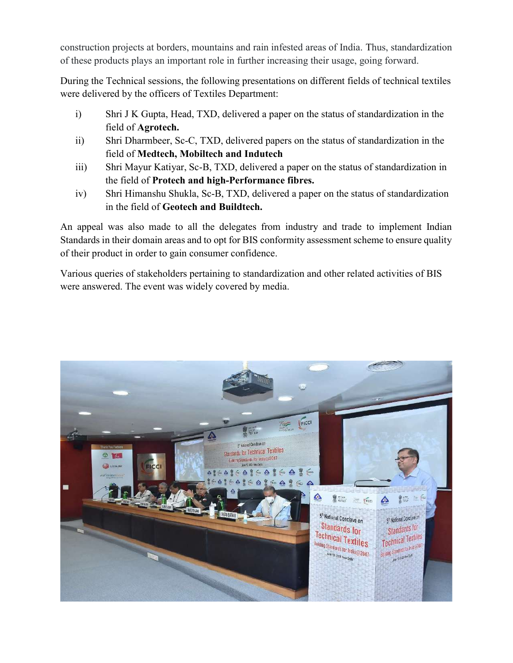construction projects at borders, mountains and rain infested areas of India. Thus, standardization of these products plays an important role in further increasing their usage, going forward.

During the Technical sessions, the following presentations on different fields of technical textiles were delivered by the officers of Textiles Department:

- i) Shri J K Gupta, Head, TXD, delivered a paper on the status of standardization in the field of Agrotech.
- ii) Shri Dharmbeer, Sc-C, TXD, delivered papers on the status of standardization in the field of Medtech, Mobiltech and Indutech
- iii) Shri Mayur Katiyar, Sc-B, TXD, delivered a paper on the status of standardization in the field of Protech and high-Performance fibres.
- iv) Shri Himanshu Shukla, Sc-B, TXD, delivered a paper on the status of standardization in the field of Geotech and Buildtech.

An appeal was also made to all the delegates from industry and trade to implement Indian Standards in their domain areas and to opt for BIS conformity assessment scheme to ensure quality of their product in order to gain consumer confidence.

Various queries of stakeholders pertaining to standardization and other related activities of BIS were answered. The event was widely covered by media.

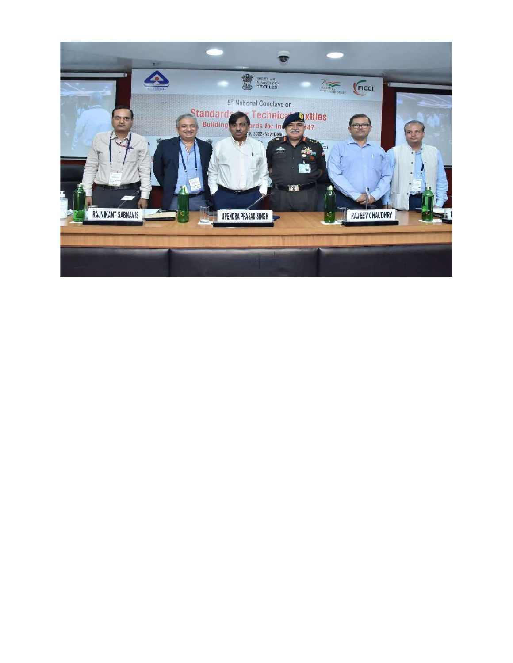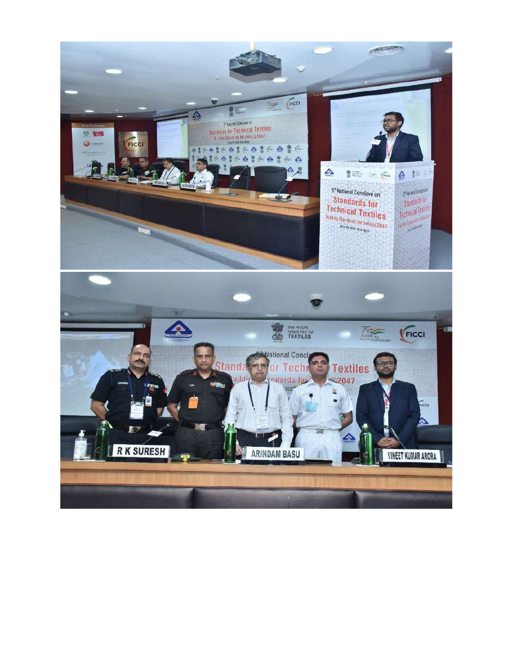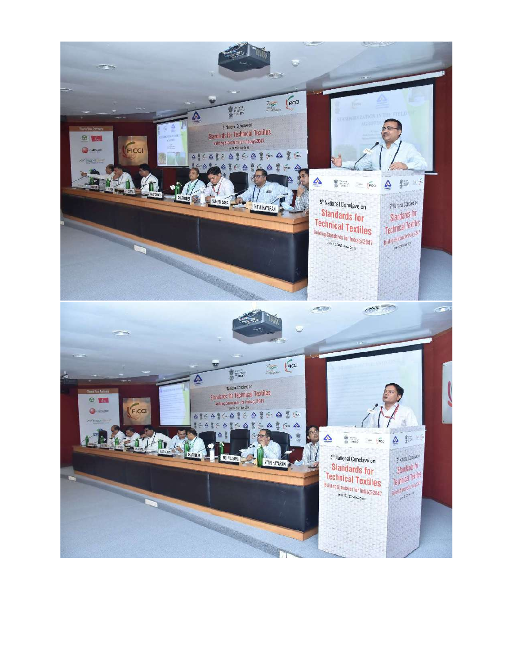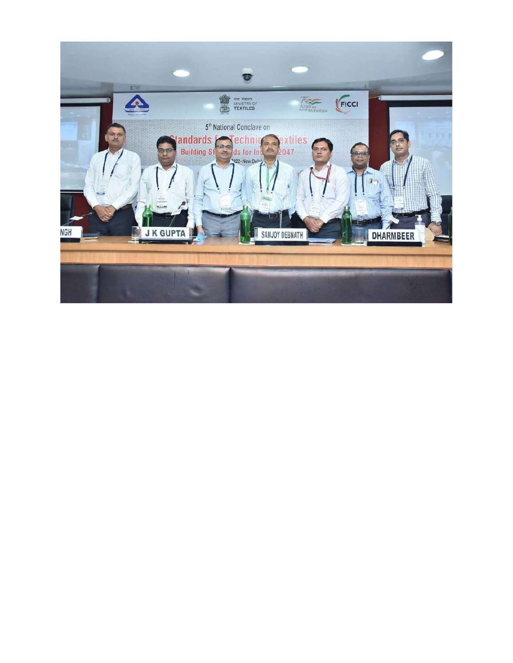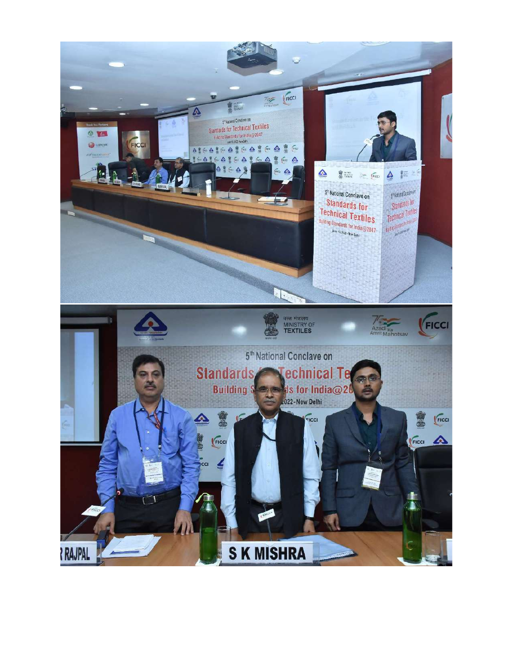